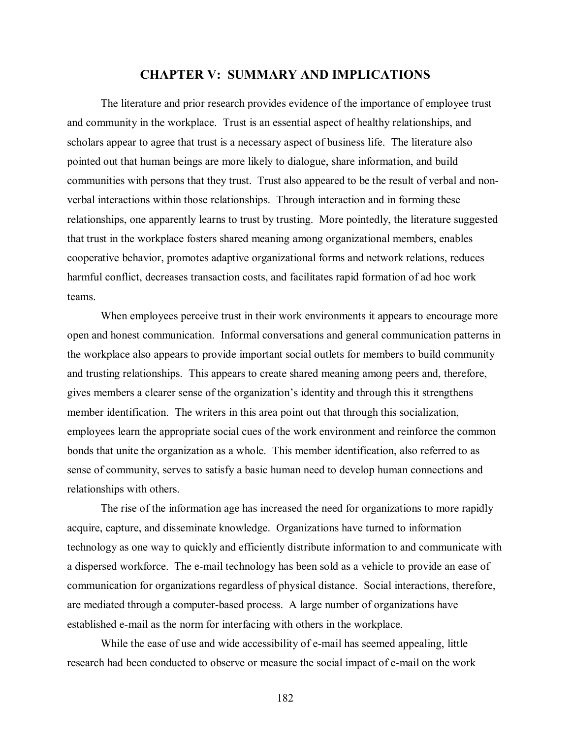# **CHAPTER V: SUMMARY AND IMPLICATIONS**

The literature and prior research provides evidence of the importance of employee trust and community in the workplace. Trust is an essential aspect of healthy relationships, and scholars appear to agree that trust is a necessary aspect of business life. The literature also pointed out that human beings are more likely to dialogue, share information, and build communities with persons that they trust. Trust also appeared to be the result of verbal and nonverbal interactions within those relationships. Through interaction and in forming these relationships, one apparently learns to trust by trusting. More pointedly, the literature suggested that trust in the workplace fosters shared meaning among organizational members, enables cooperative behavior, promotes adaptive organizational forms and network relations, reduces harmful conflict, decreases transaction costs, and facilitates rapid formation of ad hoc work teams.

When employees perceive trust in their work environments it appears to encourage more open and honest communication. Informal conversations and general communication patterns in the workplace also appears to provide important social outlets for members to build community and trusting relationships. This appears to create shared meaning among peers and, therefore, gives members a clearer sense of the organization's identity and through this it strengthens member identification. The writers in this area point out that through this socialization, employees learn the appropriate social cues of the work environment and reinforce the common bonds that unite the organization as a whole. This member identification, also referred to as sense of community, serves to satisfy a basic human need to develop human connections and relationships with others.

The rise of the information age has increased the need for organizations to more rapidly acquire, capture, and disseminate knowledge. Organizations have turned to information technology as one way to quickly and efficiently distribute information to and communicate with a dispersed workforce. The e-mail technology has been sold as a vehicle to provide an ease of communication for organizations regardless of physical distance. Social interactions, therefore, are mediated through a computer-based process. A large number of organizations have established e-mail as the norm for interfacing with others in the workplace.

While the ease of use and wide accessibility of e-mail has seemed appealing, little research had been conducted to observe or measure the social impact of e-mail on the work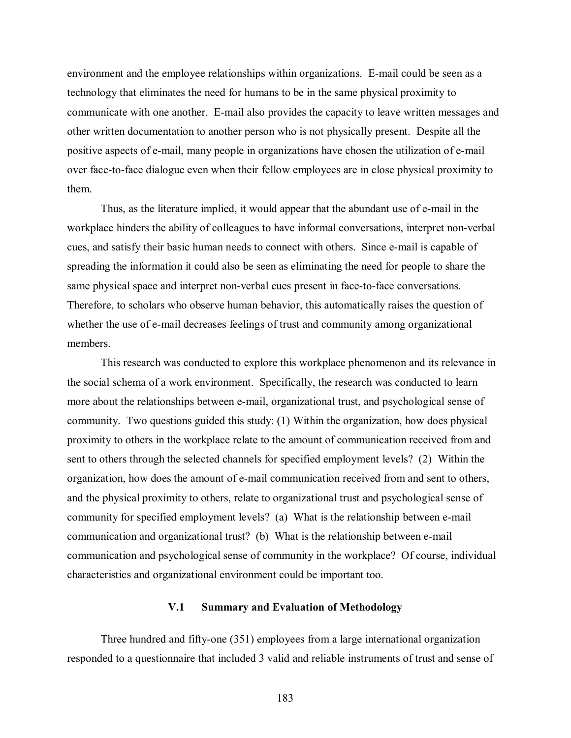environment and the employee relationships within organizations. E-mail could be seen as a technology that eliminates the need for humans to be in the same physical proximity to communicate with one another. E-mail also provides the capacity to leave written messages and other written documentation to another person who is not physically present. Despite all the positive aspects of e-mail, many people in organizations have chosen the utilization of e-mail over face-to-face dialogue even when their fellow employees are in close physical proximity to them.

Thus, as the literature implied, it would appear that the abundant use of e-mail in the workplace hinders the ability of colleagues to have informal conversations, interpret non-verbal cues, and satisfy their basic human needs to connect with others. Since e-mail is capable of spreading the information it could also be seen as eliminating the need for people to share the same physical space and interpret non-verbal cues present in face-to-face conversations. Therefore, to scholars who observe human behavior, this automatically raises the question of whether the use of e-mail decreases feelings of trust and community among organizational members.

This research was conducted to explore this workplace phenomenon and its relevance in the social schema of a work environment. Specifically, the research was conducted to learn more about the relationships between e-mail, organizational trust, and psychological sense of community. Two questions guided this study: (1) Within the organization, how does physical proximity to others in the workplace relate to the amount of communication received from and sent to others through the selected channels for specified employment levels? (2) Within the organization, how does the amount of e-mail communication received from and sent to others, and the physical proximity to others, relate to organizational trust and psychological sense of community for specified employment levels? (a) What is the relationship between e-mail communication and organizational trust? (b) What is the relationship between e-mail communication and psychological sense of community in the workplace? Of course, individual characteristics and organizational environment could be important too.

#### **V.1 Summary and Evaluation of Methodology**

Three hundred and fifty-one (351) employees from a large international organization responded to a questionnaire that included 3 valid and reliable instruments of trust and sense of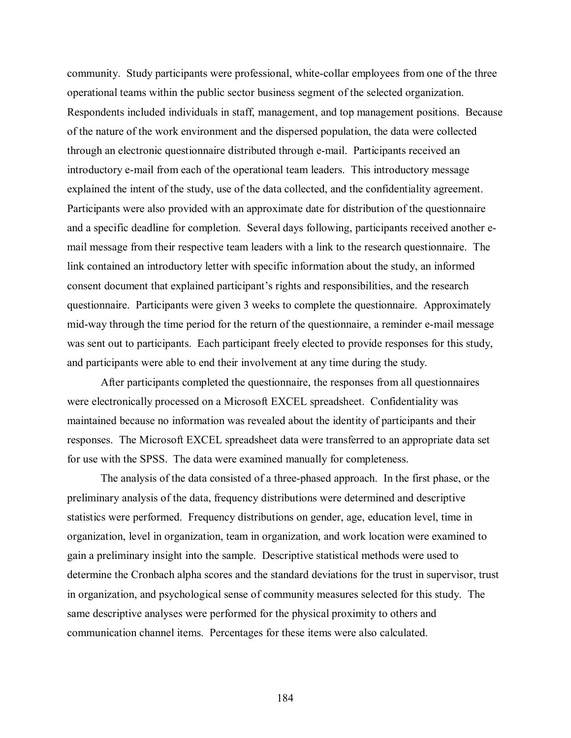community. Study participants were professional, white-collar employees from one of the three operational teams within the public sector business segment of the selected organization. Respondents included individuals in staff, management, and top management positions. Because of the nature of the work environment and the dispersed population, the data were collected through an electronic questionnaire distributed through e-mail. Participants received an introductory e-mail from each of the operational team leaders. This introductory message explained the intent of the study, use of the data collected, and the confidentiality agreement. Participants were also provided with an approximate date for distribution of the questionnaire and a specific deadline for completion. Several days following, participants received another email message from their respective team leaders with a link to the research questionnaire. The link contained an introductory letter with specific information about the study, an informed consent document that explained participant's rights and responsibilities, and the research questionnaire. Participants were given 3 weeks to complete the questionnaire. Approximately mid-way through the time period for the return of the questionnaire, a reminder e-mail message was sent out to participants. Each participant freely elected to provide responses for this study, and participants were able to end their involvement at any time during the study.

After participants completed the questionnaire, the responses from all questionnaires were electronically processed on a Microsoft EXCEL spreadsheet. Confidentiality was maintained because no information was revealed about the identity of participants and their responses. The Microsoft EXCEL spreadsheet data were transferred to an appropriate data set for use with the SPSS. The data were examined manually for completeness.

The analysis of the data consisted of a three-phased approach. In the first phase, or the preliminary analysis of the data, frequency distributions were determined and descriptive statistics were performed. Frequency distributions on gender, age, education level, time in organization, level in organization, team in organization, and work location were examined to gain a preliminary insight into the sample. Descriptive statistical methods were used to determine the Cronbach alpha scores and the standard deviations for the trust in supervisor, trust in organization, and psychological sense of community measures selected for this study. The same descriptive analyses were performed for the physical proximity to others and communication channel items. Percentages for these items were also calculated.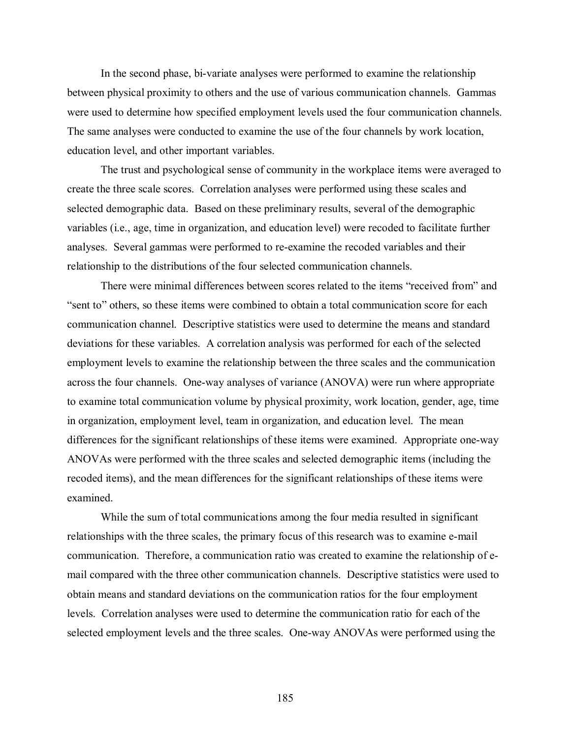In the second phase, bi-variate analyses were performed to examine the relationship between physical proximity to others and the use of various communication channels. Gammas were used to determine how specified employment levels used the four communication channels. The same analyses were conducted to examine the use of the four channels by work location, education level, and other important variables.

The trust and psychological sense of community in the workplace items were averaged to create the three scale scores. Correlation analyses were performed using these scales and selected demographic data. Based on these preliminary results, several of the demographic variables (i.e., age, time in organization, and education level) were recoded to facilitate further analyses. Several gammas were performed to re-examine the recoded variables and their relationship to the distributions of the four selected communication channels.

There were minimal differences between scores related to the items "received from" and "sent to" others, so these items were combined to obtain a total communication score for each communication channel. Descriptive statistics were used to determine the means and standard deviations for these variables. A correlation analysis was performed for each of the selected employment levels to examine the relationship between the three scales and the communication across the four channels. One-way analyses of variance (ANOVA) were run where appropriate to examine total communication volume by physical proximity, work location, gender, age, time in organization, employment level, team in organization, and education level. The mean differences for the significant relationships of these items were examined. Appropriate one-way ANOVAs were performed with the three scales and selected demographic items (including the recoded items), and the mean differences for the significant relationships of these items were examined.

While the sum of total communications among the four media resulted in significant relationships with the three scales, the primary focus of this research was to examine e-mail communication. Therefore, a communication ratio was created to examine the relationship of email compared with the three other communication channels. Descriptive statistics were used to obtain means and standard deviations on the communication ratios for the four employment levels. Correlation analyses were used to determine the communication ratio for each of the selected employment levels and the three scales. One-way ANOVAs were performed using the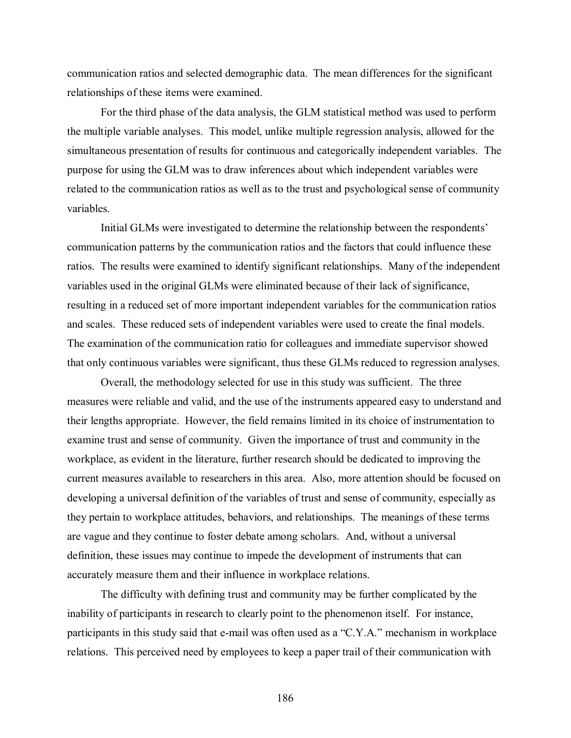communication ratios and selected demographic data. The mean differences for the significant relationships of these items were examined.

For the third phase of the data analysis, the GLM statistical method was used to perform the multiple variable analyses. This model, unlike multiple regression analysis, allowed for the simultaneous presentation of results for continuous and categorically independent variables. The purpose for using the GLM was to draw inferences about which independent variables were related to the communication ratios as well as to the trust and psychological sense of community variables.

Initial GLMs were investigated to determine the relationship between the respondents' communication patterns by the communication ratios and the factors that could influence these ratios. The results were examined to identify significant relationships. Many of the independent variables used in the original GLMs were eliminated because of their lack of significance, resulting in a reduced set of more important independent variables for the communication ratios and scales. These reduced sets of independent variables were used to create the final models. The examination of the communication ratio for colleagues and immediate supervisor showed that only continuous variables were significant, thus these GLMs reduced to regression analyses.

Overall, the methodology selected for use in this study was sufficient. The three measures were reliable and valid, and the use of the instruments appeared easy to understand and their lengths appropriate. However, the field remains limited in its choice of instrumentation to examine trust and sense of community. Given the importance of trust and community in the workplace, as evident in the literature, further research should be dedicated to improving the current measures available to researchers in this area. Also, more attention should be focused on developing a universal definition of the variables of trust and sense of community, especially as they pertain to workplace attitudes, behaviors, and relationships. The meanings of these terms are vague and they continue to foster debate among scholars. And, without a universal definition, these issues may continue to impede the development of instruments that can accurately measure them and their influence in workplace relations.

The difficulty with defining trust and community may be further complicated by the inability of participants in research to clearly point to the phenomenon itself. For instance, participants in this study said that e-mail was often used as a "C.Y.A." mechanism in workplace relations. This perceived need by employees to keep a paper trail of their communication with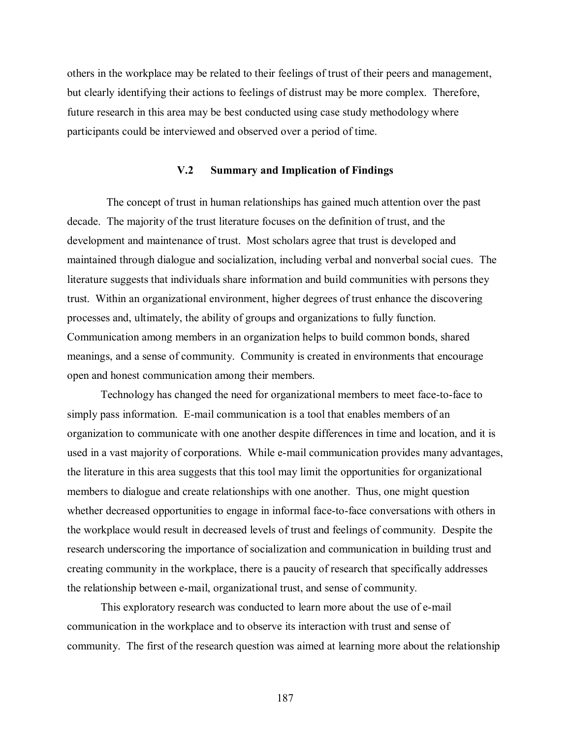others in the workplace may be related to their feelings of trust of their peers and management, but clearly identifying their actions to feelings of distrust may be more complex. Therefore, future research in this area may be best conducted using case study methodology where participants could be interviewed and observed over a period of time.

## **V.2 Summary and Implication of Findings**

 The concept of trust in human relationships has gained much attention over the past decade. The majority of the trust literature focuses on the definition of trust, and the development and maintenance of trust. Most scholars agree that trust is developed and maintained through dialogue and socialization, including verbal and nonverbal social cues. The literature suggests that individuals share information and build communities with persons they trust. Within an organizational environment, higher degrees of trust enhance the discovering processes and, ultimately, the ability of groups and organizations to fully function. Communication among members in an organization helps to build common bonds, shared meanings, and a sense of community. Community is created in environments that encourage open and honest communication among their members.

Technology has changed the need for organizational members to meet face-to-face to simply pass information. E-mail communication is a tool that enables members of an organization to communicate with one another despite differences in time and location, and it is used in a vast majority of corporations. While e-mail communication provides many advantages, the literature in this area suggests that this tool may limit the opportunities for organizational members to dialogue and create relationships with one another. Thus, one might question whether decreased opportunities to engage in informal face-to-face conversations with others in the workplace would result in decreased levels of trust and feelings of community. Despite the research underscoring the importance of socialization and communication in building trust and creating community in the workplace, there is a paucity of research that specifically addresses the relationship between e-mail, organizational trust, and sense of community.

This exploratory research was conducted to learn more about the use of e-mail communication in the workplace and to observe its interaction with trust and sense of community. The first of the research question was aimed at learning more about the relationship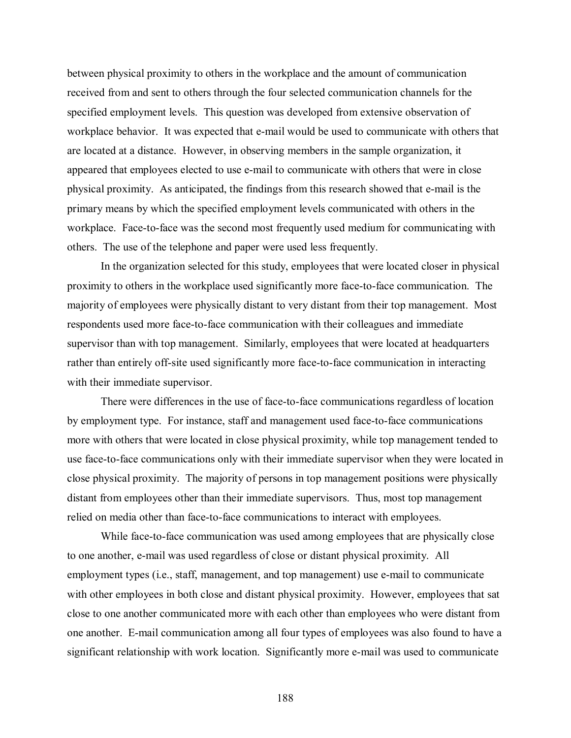between physical proximity to others in the workplace and the amount of communication received from and sent to others through the four selected communication channels for the specified employment levels. This question was developed from extensive observation of workplace behavior. It was expected that e-mail would be used to communicate with others that are located at a distance. However, in observing members in the sample organization, it appeared that employees elected to use e-mail to communicate with others that were in close physical proximity. As anticipated, the findings from this research showed that e-mail is the primary means by which the specified employment levels communicated with others in the workplace. Face-to-face was the second most frequently used medium for communicating with others. The use of the telephone and paper were used less frequently.

In the organization selected for this study, employees that were located closer in physical proximity to others in the workplace used significantly more face-to-face communication. The majority of employees were physically distant to very distant from their top management. Most respondents used more face-to-face communication with their colleagues and immediate supervisor than with top management. Similarly, employees that were located at headquarters rather than entirely off-site used significantly more face-to-face communication in interacting with their immediate supervisor.

There were differences in the use of face-to-face communications regardless of location by employment type. For instance, staff and management used face-to-face communications more with others that were located in close physical proximity, while top management tended to use face-to-face communications only with their immediate supervisor when they were located in close physical proximity. The majority of persons in top management positions were physically distant from employees other than their immediate supervisors. Thus, most top management relied on media other than face-to-face communications to interact with employees.

While face-to-face communication was used among employees that are physically close to one another, e-mail was used regardless of close or distant physical proximity. All employment types (i.e., staff, management, and top management) use e-mail to communicate with other employees in both close and distant physical proximity. However, employees that sat close to one another communicated more with each other than employees who were distant from one another. E-mail communication among all four types of employees was also found to have a significant relationship with work location. Significantly more e-mail was used to communicate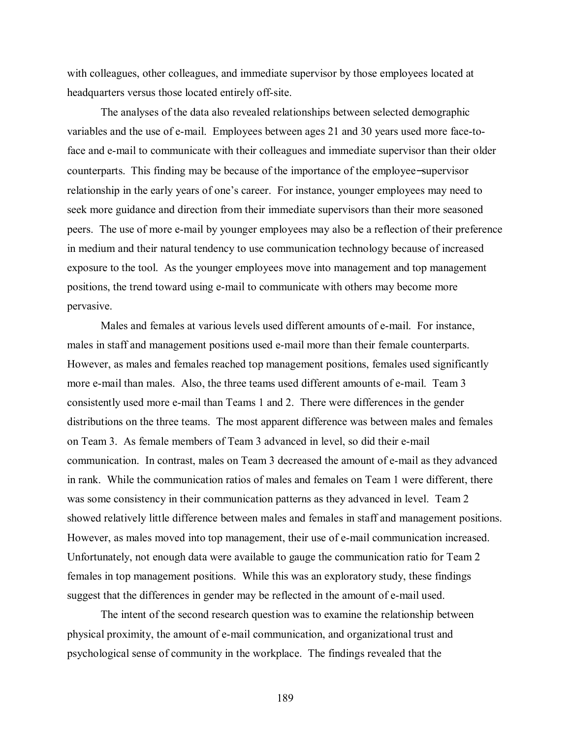with colleagues, other colleagues, and immediate supervisor by those employees located at headquarters versus those located entirely off-site.

The analyses of the data also revealed relationships between selected demographic variables and the use of e-mail. Employees between ages 21 and 30 years used more face-toface and e-mail to communicate with their colleagues and immediate supervisor than their older counterparts. This finding may be because of the importance of the employee−supervisor relationship in the early years of one's career. For instance, younger employees may need to seek more guidance and direction from their immediate supervisors than their more seasoned peers. The use of more e-mail by younger employees may also be a reflection of their preference in medium and their natural tendency to use communication technology because of increased exposure to the tool. As the younger employees move into management and top management positions, the trend toward using e-mail to communicate with others may become more pervasive.

Males and females at various levels used different amounts of e-mail. For instance, males in staff and management positions used e-mail more than their female counterparts. However, as males and females reached top management positions, females used significantly more e-mail than males. Also, the three teams used different amounts of e-mail. Team 3 consistently used more e-mail than Teams 1 and 2. There were differences in the gender distributions on the three teams. The most apparent difference was between males and females on Team 3. As female members of Team 3 advanced in level, so did their e-mail communication. In contrast, males on Team 3 decreased the amount of e-mail as they advanced in rank. While the communication ratios of males and females on Team 1 were different, there was some consistency in their communication patterns as they advanced in level. Team 2 showed relatively little difference between males and females in staff and management positions. However, as males moved into top management, their use of e-mail communication increased. Unfortunately, not enough data were available to gauge the communication ratio for Team 2 females in top management positions. While this was an exploratory study, these findings suggest that the differences in gender may be reflected in the amount of e-mail used.

The intent of the second research question was to examine the relationship between physical proximity, the amount of e-mail communication, and organizational trust and psychological sense of community in the workplace. The findings revealed that the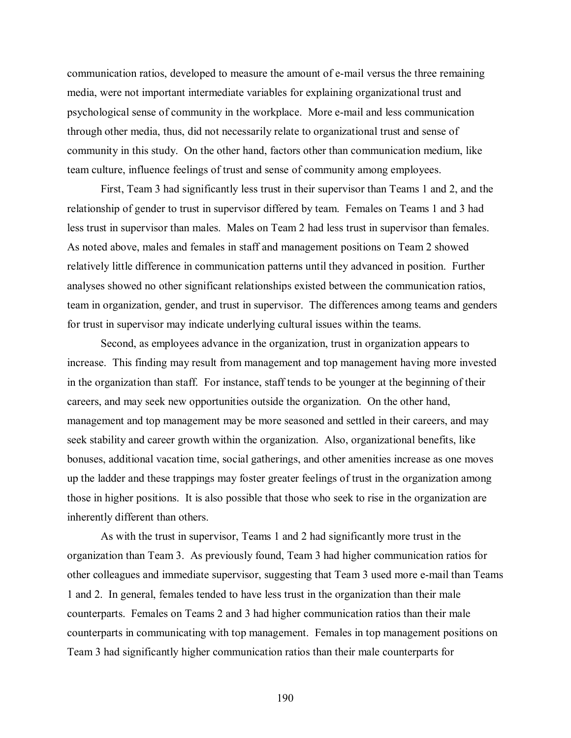communication ratios, developed to measure the amount of e-mail versus the three remaining media, were not important intermediate variables for explaining organizational trust and psychological sense of community in the workplace. More e-mail and less communication through other media, thus, did not necessarily relate to organizational trust and sense of community in this study. On the other hand, factors other than communication medium, like team culture, influence feelings of trust and sense of community among employees.

First, Team 3 had significantly less trust in their supervisor than Teams 1 and 2, and the relationship of gender to trust in supervisor differed by team. Females on Teams 1 and 3 had less trust in supervisor than males. Males on Team 2 had less trust in supervisor than females. As noted above, males and females in staff and management positions on Team 2 showed relatively little difference in communication patterns until they advanced in position. Further analyses showed no other significant relationships existed between the communication ratios, team in organization, gender, and trust in supervisor. The differences among teams and genders for trust in supervisor may indicate underlying cultural issues within the teams.

Second, as employees advance in the organization, trust in organization appears to increase. This finding may result from management and top management having more invested in the organization than staff. For instance, staff tends to be younger at the beginning of their careers, and may seek new opportunities outside the organization. On the other hand, management and top management may be more seasoned and settled in their careers, and may seek stability and career growth within the organization. Also, organizational benefits, like bonuses, additional vacation time, social gatherings, and other amenities increase as one moves up the ladder and these trappings may foster greater feelings of trust in the organization among those in higher positions. It is also possible that those who seek to rise in the organization are inherently different than others.

As with the trust in supervisor, Teams 1 and 2 had significantly more trust in the organization than Team 3. As previously found, Team 3 had higher communication ratios for other colleagues and immediate supervisor, suggesting that Team 3 used more e-mail than Teams 1 and 2. In general, females tended to have less trust in the organization than their male counterparts. Females on Teams 2 and 3 had higher communication ratios than their male counterparts in communicating with top management. Females in top management positions on Team 3 had significantly higher communication ratios than their male counterparts for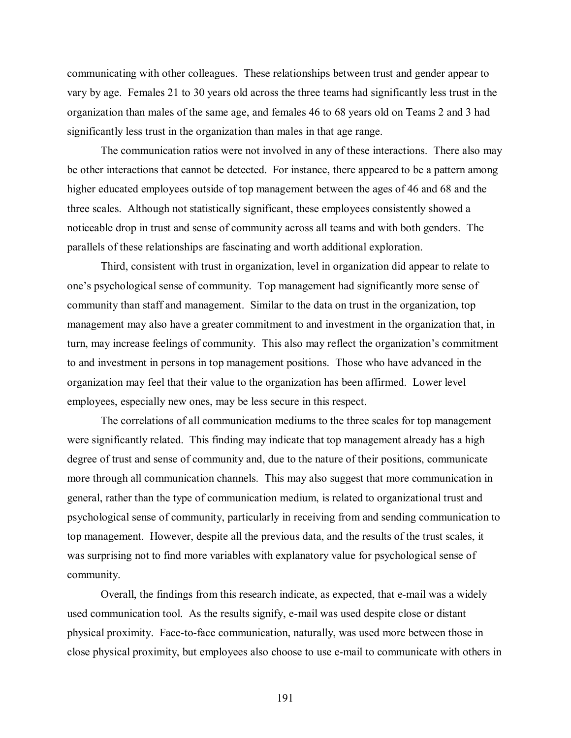communicating with other colleagues. These relationships between trust and gender appear to vary by age. Females 21 to 30 years old across the three teams had significantly less trust in the organization than males of the same age, and females 46 to 68 years old on Teams 2 and 3 had significantly less trust in the organization than males in that age range.

The communication ratios were not involved in any of these interactions. There also may be other interactions that cannot be detected. For instance, there appeared to be a pattern among higher educated employees outside of top management between the ages of 46 and 68 and the three scales. Although not statistically significant, these employees consistently showed a noticeable drop in trust and sense of community across all teams and with both genders. The parallels of these relationships are fascinating and worth additional exploration.

Third, consistent with trust in organization, level in organization did appear to relate to one's psychological sense of community. Top management had significantly more sense of community than staff and management. Similar to the data on trust in the organization, top management may also have a greater commitment to and investment in the organization that, in turn, may increase feelings of community. This also may reflect the organization's commitment to and investment in persons in top management positions. Those who have advanced in the organization may feel that their value to the organization has been affirmed. Lower level employees, especially new ones, may be less secure in this respect.

The correlations of all communication mediums to the three scales for top management were significantly related. This finding may indicate that top management already has a high degree of trust and sense of community and, due to the nature of their positions, communicate more through all communication channels. This may also suggest that more communication in general, rather than the type of communication medium, is related to organizational trust and psychological sense of community, particularly in receiving from and sending communication to top management. However, despite all the previous data, and the results of the trust scales, it was surprising not to find more variables with explanatory value for psychological sense of community.

 Overall, the findings from this research indicate, as expected, that e-mail was a widely used communication tool. As the results signify, e-mail was used despite close or distant physical proximity. Face-to-face communication, naturally, was used more between those in close physical proximity, but employees also choose to use e-mail to communicate with others in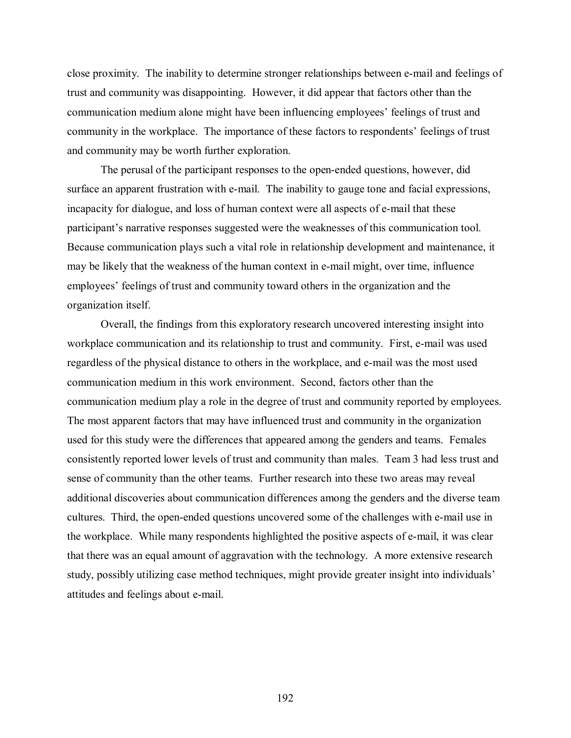close proximity. The inability to determine stronger relationships between e-mail and feelings of trust and community was disappointing. However, it did appear that factors other than the communication medium alone might have been influencing employees' feelings of trust and community in the workplace. The importance of these factors to respondents' feelings of trust and community may be worth further exploration.

The perusal of the participant responses to the open-ended questions, however, did surface an apparent frustration with e-mail. The inability to gauge tone and facial expressions, incapacity for dialogue, and loss of human context were all aspects of e-mail that these participant's narrative responses suggested were the weaknesses of this communication tool. Because communication plays such a vital role in relationship development and maintenance, it may be likely that the weakness of the human context in e-mail might, over time, influence employees' feelings of trust and community toward others in the organization and the organization itself.

Overall, the findings from this exploratory research uncovered interesting insight into workplace communication and its relationship to trust and community. First, e-mail was used regardless of the physical distance to others in the workplace, and e-mail was the most used communication medium in this work environment. Second, factors other than the communication medium play a role in the degree of trust and community reported by employees. The most apparent factors that may have influenced trust and community in the organization used for this study were the differences that appeared among the genders and teams. Females consistently reported lower levels of trust and community than males. Team 3 had less trust and sense of community than the other teams. Further research into these two areas may reveal additional discoveries about communication differences among the genders and the diverse team cultures. Third, the open-ended questions uncovered some of the challenges with e-mail use in the workplace. While many respondents highlighted the positive aspects of e-mail, it was clear that there was an equal amount of aggravation with the technology. A more extensive research study, possibly utilizing case method techniques, might provide greater insight into individuals' attitudes and feelings about e-mail.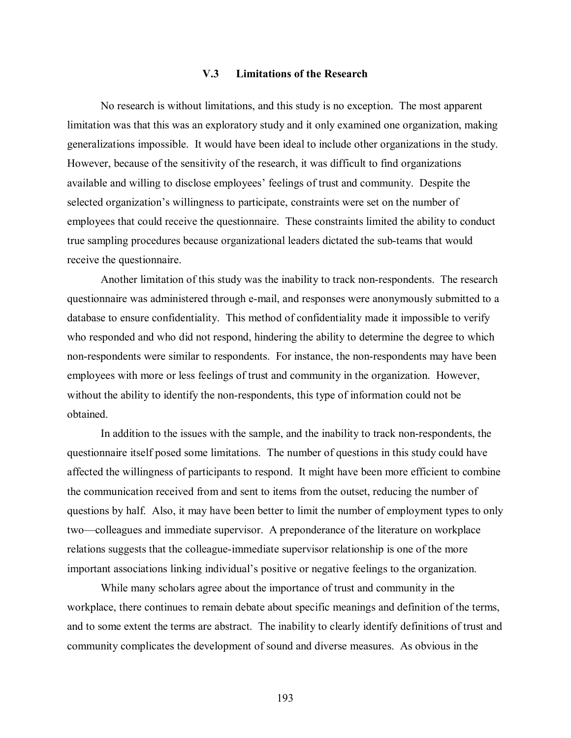# **V.3 Limitations of the Research**

 No research is without limitations, and this study is no exception. The most apparent limitation was that this was an exploratory study and it only examined one organization, making generalizations impossible. It would have been ideal to include other organizations in the study. However, because of the sensitivity of the research, it was difficult to find organizations available and willing to disclose employees' feelings of trust and community. Despite the selected organization's willingness to participate, constraints were set on the number of employees that could receive the questionnaire. These constraints limited the ability to conduct true sampling procedures because organizational leaders dictated the sub-teams that would receive the questionnaire.

 Another limitation of this study was the inability to track non-respondents. The research questionnaire was administered through e-mail, and responses were anonymously submitted to a database to ensure confidentiality. This method of confidentiality made it impossible to verify who responded and who did not respond, hindering the ability to determine the degree to which non-respondents were similar to respondents. For instance, the non-respondents may have been employees with more or less feelings of trust and community in the organization. However, without the ability to identify the non-respondents, this type of information could not be obtained.

 In addition to the issues with the sample, and the inability to track non-respondents, the questionnaire itself posed some limitations. The number of questions in this study could have affected the willingness of participants to respond. It might have been more efficient to combine the communication received from and sent to items from the outset, reducing the number of questions by half. Also, it may have been better to limit the number of employment types to only two—colleagues and immediate supervisor. A preponderance of the literature on workplace relations suggests that the colleague-immediate supervisor relationship is one of the more important associations linking individual's positive or negative feelings to the organization.

 While many scholars agree about the importance of trust and community in the workplace, there continues to remain debate about specific meanings and definition of the terms, and to some extent the terms are abstract. The inability to clearly identify definitions of trust and community complicates the development of sound and diverse measures. As obvious in the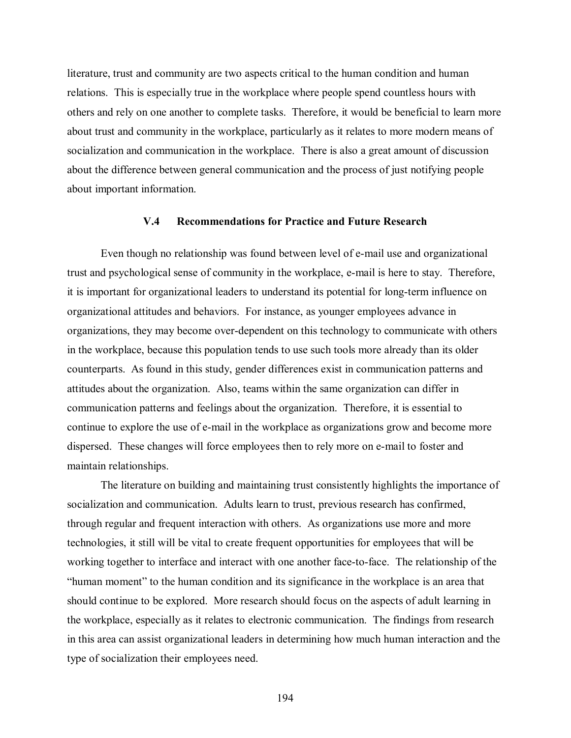literature, trust and community are two aspects critical to the human condition and human relations. This is especially true in the workplace where people spend countless hours with others and rely on one another to complete tasks. Therefore, it would be beneficial to learn more about trust and community in the workplace, particularly as it relates to more modern means of socialization and communication in the workplace. There is also a great amount of discussion about the difference between general communication and the process of just notifying people about important information.

## **V.4 Recommendations for Practice and Future Research**

 Even though no relationship was found between level of e-mail use and organizational trust and psychological sense of community in the workplace, e-mail is here to stay. Therefore, it is important for organizational leaders to understand its potential for long-term influence on organizational attitudes and behaviors. For instance, as younger employees advance in organizations, they may become over-dependent on this technology to communicate with others in the workplace, because this population tends to use such tools more already than its older counterparts. As found in this study, gender differences exist in communication patterns and attitudes about the organization. Also, teams within the same organization can differ in communication patterns and feelings about the organization. Therefore, it is essential to continue to explore the use of e-mail in the workplace as organizations grow and become more dispersed. These changes will force employees then to rely more on e-mail to foster and maintain relationships.

 The literature on building and maintaining trust consistently highlights the importance of socialization and communication. Adults learn to trust, previous research has confirmed, through regular and frequent interaction with others. As organizations use more and more technologies, it still will be vital to create frequent opportunities for employees that will be working together to interface and interact with one another face-to-face. The relationship of the "human moment" to the human condition and its significance in the workplace is an area that should continue to be explored. More research should focus on the aspects of adult learning in the workplace, especially as it relates to electronic communication. The findings from research in this area can assist organizational leaders in determining how much human interaction and the type of socialization their employees need.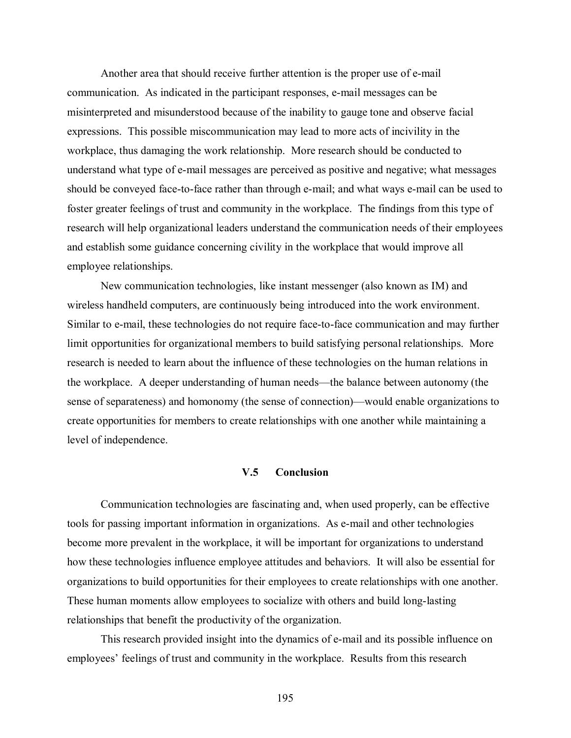Another area that should receive further attention is the proper use of e-mail communication. As indicated in the participant responses, e-mail messages can be misinterpreted and misunderstood because of the inability to gauge tone and observe facial expressions. This possible miscommunication may lead to more acts of incivility in the workplace, thus damaging the work relationship. More research should be conducted to understand what type of e-mail messages are perceived as positive and negative; what messages should be conveyed face-to-face rather than through e-mail; and what ways e-mail can be used to foster greater feelings of trust and community in the workplace. The findings from this type of research will help organizational leaders understand the communication needs of their employees and establish some guidance concerning civility in the workplace that would improve all employee relationships.

 New communication technologies, like instant messenger (also known as IM) and wireless handheld computers, are continuously being introduced into the work environment. Similar to e-mail, these technologies do not require face-to-face communication and may further limit opportunities for organizational members to build satisfying personal relationships. More research is needed to learn about the influence of these technologies on the human relations in the workplace. A deeper understanding of human needs—the balance between autonomy (the sense of separateness) and homonomy (the sense of connection)—would enable organizations to create opportunities for members to create relationships with one another while maintaining a level of independence.

## **V.5 Conclusion**

 Communication technologies are fascinating and, when used properly, can be effective tools for passing important information in organizations. As e-mail and other technologies become more prevalent in the workplace, it will be important for organizations to understand how these technologies influence employee attitudes and behaviors. It will also be essential for organizations to build opportunities for their employees to create relationships with one another. These human moments allow employees to socialize with others and build long-lasting relationships that benefit the productivity of the organization.

 This research provided insight into the dynamics of e-mail and its possible influence on employees' feelings of trust and community in the workplace. Results from this research